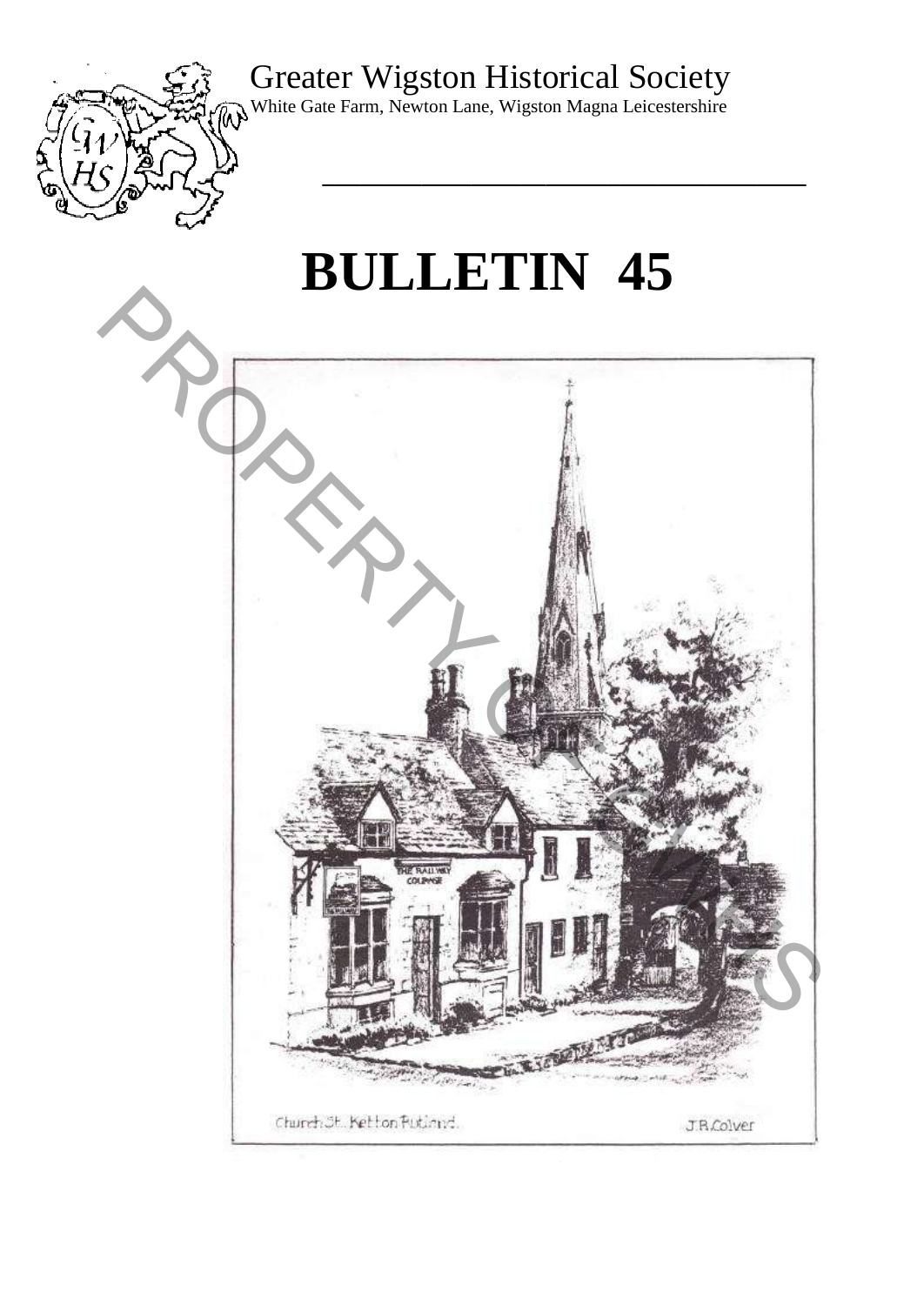## Greater Wigston Historical Society



White Gate Farm, Newton Lane, Wigston Magna Leicestershire

# **BULLETIN 45**

**\_\_\_\_\_\_\_\_\_\_\_\_\_\_\_\_\_\_\_\_\_\_\_\_\_\_\_\_\_\_\_\_\_\_\_\_\_\_\_** 

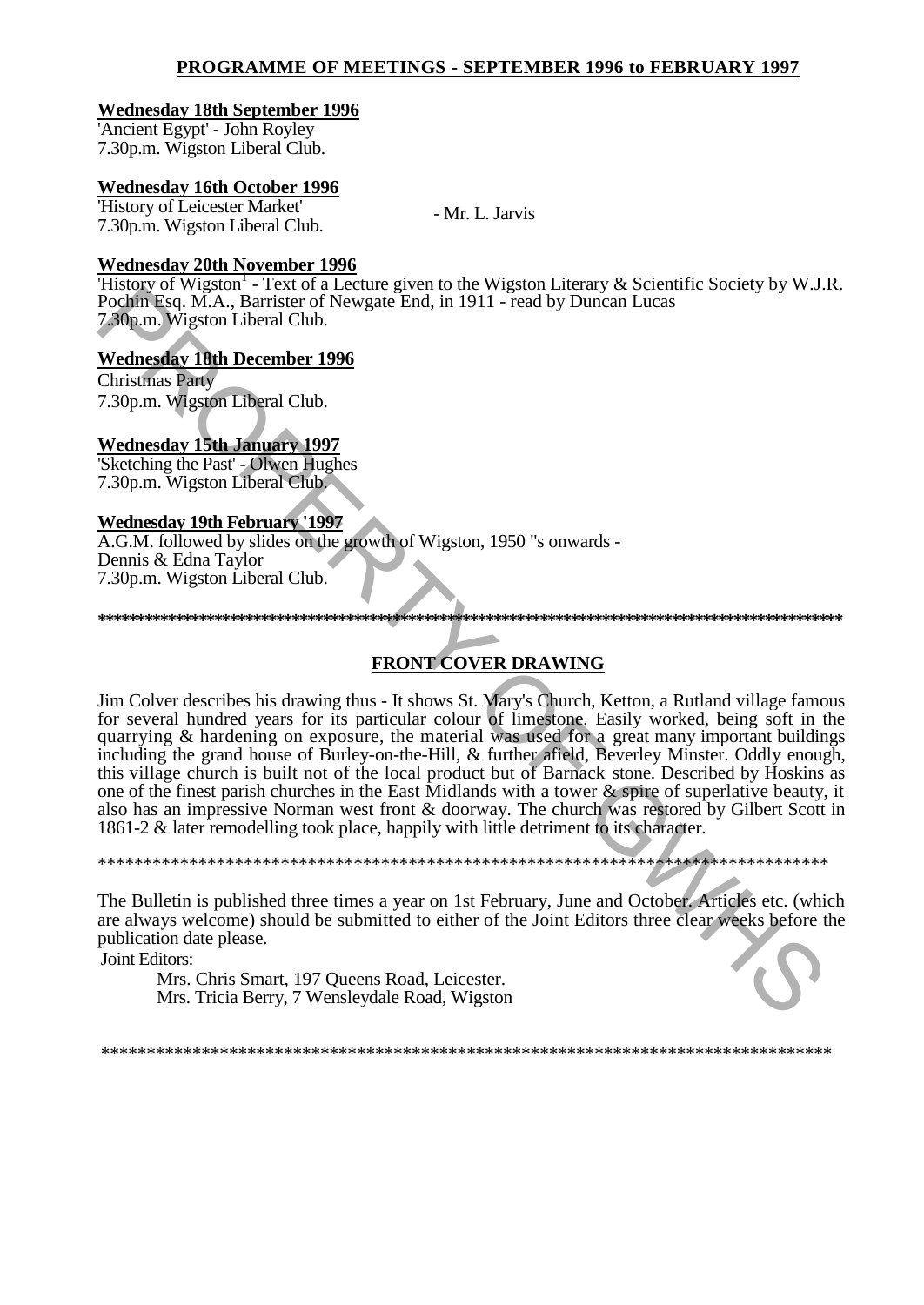### **PROGRAMME OF MEETINGS - SEPTEMBER 1996 to FEBRUARY 1997**

### **Wednesday 18th September 1996**

'Ancient Egypt' - John Royley 7.30p.m. Wigston Liberal Club.

### **Wednesday 16th October 1996**

'History of Leicester Market' 7.30p.m. Wigston Liberal Club.

- Mr. L. Jarvis

### **Wednesday 20th November 1996**

'History of Wigston<sup>1</sup> - Text of a Lecture given to the Wigston Literary & Scientific Society by W.J.R. Pochin Esq. M.A., Barrister of Newgate End, in 1911 - read by Duncan Lucas 7.30p.m. Wigston Liberal Club.

### **Wednesday 18th December 1996**

Christmas Party 7.30p.m. Wigston Liberal Club.

### **Wednesday 15th January 1997**

'Sketching the Past' - Olwen Hughes 7.30p.m. Wigston Liberal Club.

### **Wednesday 19th February '1997**

A.G.M. followed by slides on the growth of Wigston, 1950 "s onwards - Dennis & Edna Taylor 7.30p.m. Wigston Liberal Club.

**FRONT COVER DRAWING**

**\*\*\*\*\*\*\*\*\*\*\*\*\*\*\*\*\*\*\*\*\*\*\*\*\*\*\*\*\*\*\*\*\*\*\*\*\*\*\*\*\*\*\*\*\*\*\*\*\*\*\*\*\*\*\*\*\*\*\*\*\*\*\*\*\*\*\*\*\*\*\*\*\*\*\*\*\*\*\*\*\*\*\*\*\*\*\*\*\*\*\*\*\*\*\*\*** 

Jim Colver describes his drawing thus - It shows St. Mary's Church, Ketton, a Rutland village famous for several hundred years for its particular colour of limestone. Easily worked, being soft in the quarrying & hardening on exposure, the material was used for a great many important buildings including the grand house of Burley-on-the-Hill, & further afield, Beverley Minster. Oddly enough, this village church is built not of the local product but of Barnack stone. Described by Hoskins as one of the finest parish churches in the East Midlands with a tower & spire of superlative beauty, it also has an impressive Norman west front & doorway. The church was restored by Gilbert Scott in 1861-2 & later remodelling took place, happily with little detriment to its character. **Probably the Eq. (MA)**. Burrister of Newton Real on the Prigon Real times is observed to the Section Medicine Real of Newton Liberal Club.<br> **Medicine Section 1996**<br> **Property Western Eq. (MA)**. Burrister of Newton Real t

\*\*\*\*\*\*\*\*\*\*\*\*\*\*\*\*\*\*\*\*\*\*\*\*\*\*\*\*\*\*\*\*\*\*\*\*\*\*\*\*\*\*\*\*\*\*\*\*\*\*\*\*\*\*\*\*\*\*\*\*\*\*\*\*\*\*\*\*\*\*\*\*\*\*\*\*\*\*\*\*

The Bulletin is published three times a year on 1st February, June and October. Articles etc. (which are always welcome) should be submitted to either of the Joint Editors three clear weeks before the publication date please.

Joint Editors:

Mrs. Chris Smart, 197 Queens Road, Leicester. Mrs. Tricia Berry, 7 Wensleydale Road, Wigston

\*\*\*\*\*\*\*\*\*\*\*\*\*\*\*\*\*\*\*\*\*\*\*\*\*\*\*\*\*\*\*\*\*\*\*\*\*\*\*\*\*\*\*\*\*\*\*\*\*\*\*\*\*\*\*\*\*\*\*\*\*\*\*\*\*\*\*\*\*\*\*\*\*\*\*\*\*\*\*\*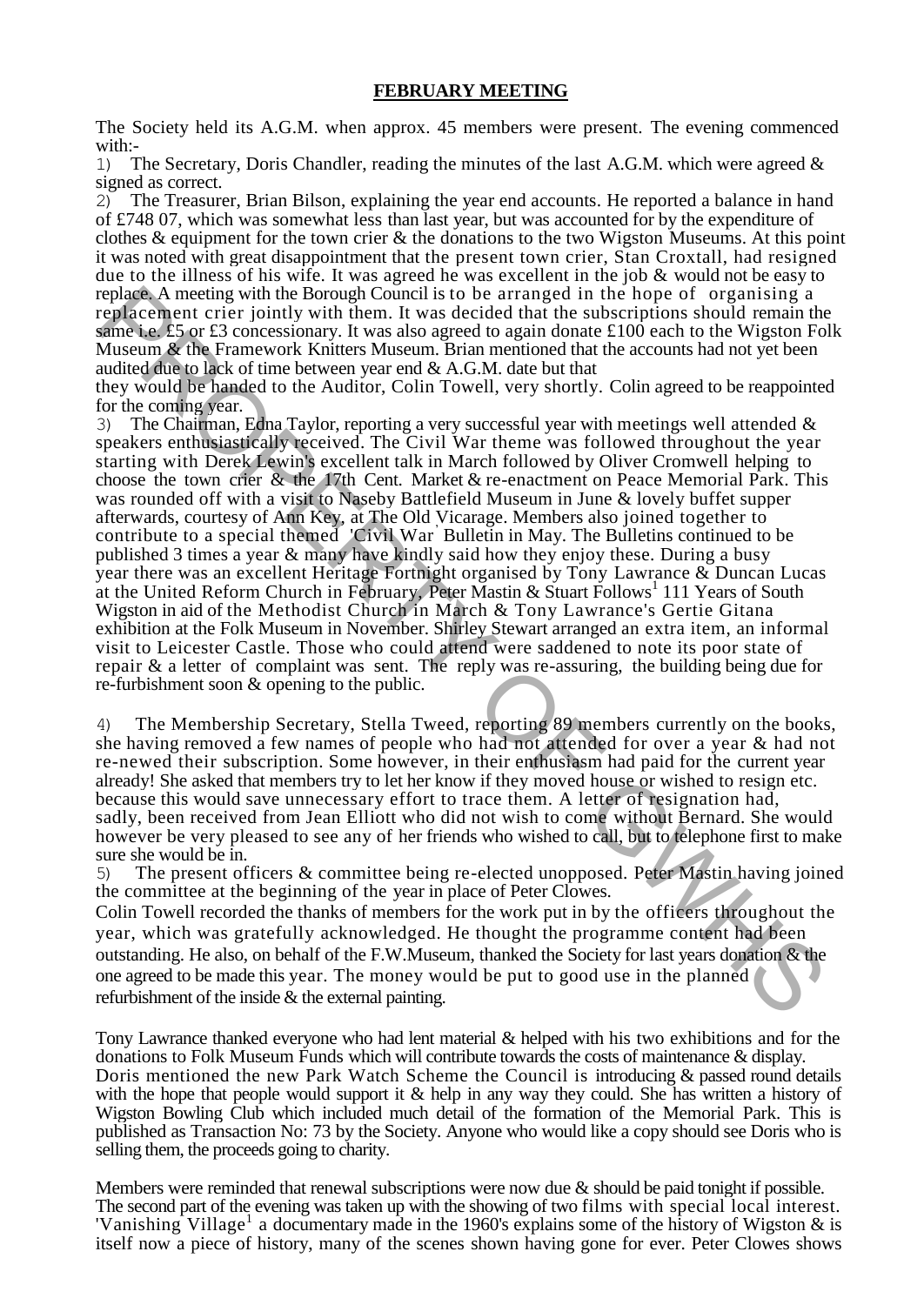### **FEBRUARY MEETING**

The Society held its A.G.M. when approx. 45 members were present. The evening commenced with:-

1) The Secretary, Doris Chandler, reading the minutes of the last A.G.M. which were agreed & signed as correct.

2) The Treasurer, Brian Bilson, explaining the year end accounts. He reported a balance in hand of £748 07, which was somewhat less than last year, but was accounted for by the expenditure of clothes  $\&$  equipment for the town crier  $\&$  the donations to the two Wigston Museums. At this point it was noted with great disappointment that the present town crier, Stan Croxtall, had resigned due to the illness of his wife. It was agreed he was excellent in the job & would not be easy to replace. A meeting with the Borough Council is to be arranged in the hope of organising a replacement crier jointly with them. It was decided that the subscriptions should remain the same i.e. £5 or £3 concessionary. It was also agreed to again donate £100 each to the Wigston Folk Museum & the Framework Knitters Museum. Brian mentioned that the accounts had not yet been audited due to lack of time between year end & A.G.M. date but that

they would be handed to the Auditor, Colin Towell, very shortly. Colin agreed to be reappointed for the coming year.

3) The Chairman, Edna Taylor, reporting a very successful year with meetings well attended  $\&$ speakers enthusiastically received. The Civil War theme was followed throughout the year starting with Derek Lewin's excellent talk in March followed by Oliver Cromwell helping to choose the town crier & the 17th Cent. Market & re-enactment on Peace Memorial Park. This was rounded off with a visit to Naseby Battlefield Museum in June & lovely buffet supper afterwards, courtesy of Ann Key, at The Old Vicarage. Members also joined together to contribute to a special themed 'Civil War' Bulletin in May. The Bulletins continued to be published 3 times a year & many have kindly said how they enjoy these. During a busy year there was an excellent Heritage Fortnight organised by Tony Lawrance & Duncan Lucas at the United Reform Church in February, Peter Mastin & Stuart Follows<sup>1</sup> 111 Years of South Wigston in aid of the Methodist Church in March & Tony Lawrance's Gertie Gitana exhibition at the Folk Museum in November. Shirley Stewart arranged an extra item, an informal visit to Leicester Castle. Those who could attend were saddened to note its poor state of repair & a letter of complaint was sent. The reply was re-assuring, the building being due for re-furbishment soon & opening to the public. replace. A meeting with the Broomel Council is to be arranged in the hope of organising a<br>resplacement crise is or E3 concessionsy. It was also agreed to again donate £100 each to the Wigston Follow Museum of the Franework

4) The Membership Secretary, Stella Tweed, reporting 89 members currently on the books, she having removed a few names of people who had not attended for over a year & had not re-newed their subscription. Some however, in their enthusiasm had paid for the current year already! She asked that members try to let her know if they moved house or wished to resign etc. because this would save unnecessary effort to trace them. A letter of resignation had, sadly, been received from Jean Elliott who did not wish to come without Bernard. She would however be very pleased to see any of her friends who wished to call, but to telephone first to make sure she would be in.

5) The present officers & committee being re-elected unopposed. Peter Mastin having joined the committee at the beginning of the year in place of Peter Clowes.

Colin Towell recorded the thanks of members for the work put in by the officers throughout the year, which was gratefully acknowledged. He thought the programme content had been outstanding. He also, on behalf of the F.W.Museum, thanked the Society for last years donation & the one agreed to be made this year. The money would be put to good use in the planned refurbishment of the inside & the external painting.

Tony Lawrance thanked everyone who had lent material & helped with his two exhibitions and for the donations to Folk Museum Funds which will contribute towards the costs of maintenance & display. Doris mentioned the new Park Watch Scheme the Council is introducing & passed round details with the hope that people would support it & help in any way they could. She has written a history of Wigston Bowling Club which included much detail of the formation of the Memorial Park. This is published as Transaction No: 73 by the Society. Anyone who would like a copy should see Doris who is selling them, the proceeds going to charity.

Members were reminded that renewal subscriptions were now due & should be paid tonight if possible. The second part of the evening was taken up with the showing of two films with special local interest. Vanishing Village<sup>1</sup> a documentary made in the 1960's explains some of the history of Wigston  $\&$  is itself now a piece of history, many of the scenes shown having gone for ever. Peter Clowes shows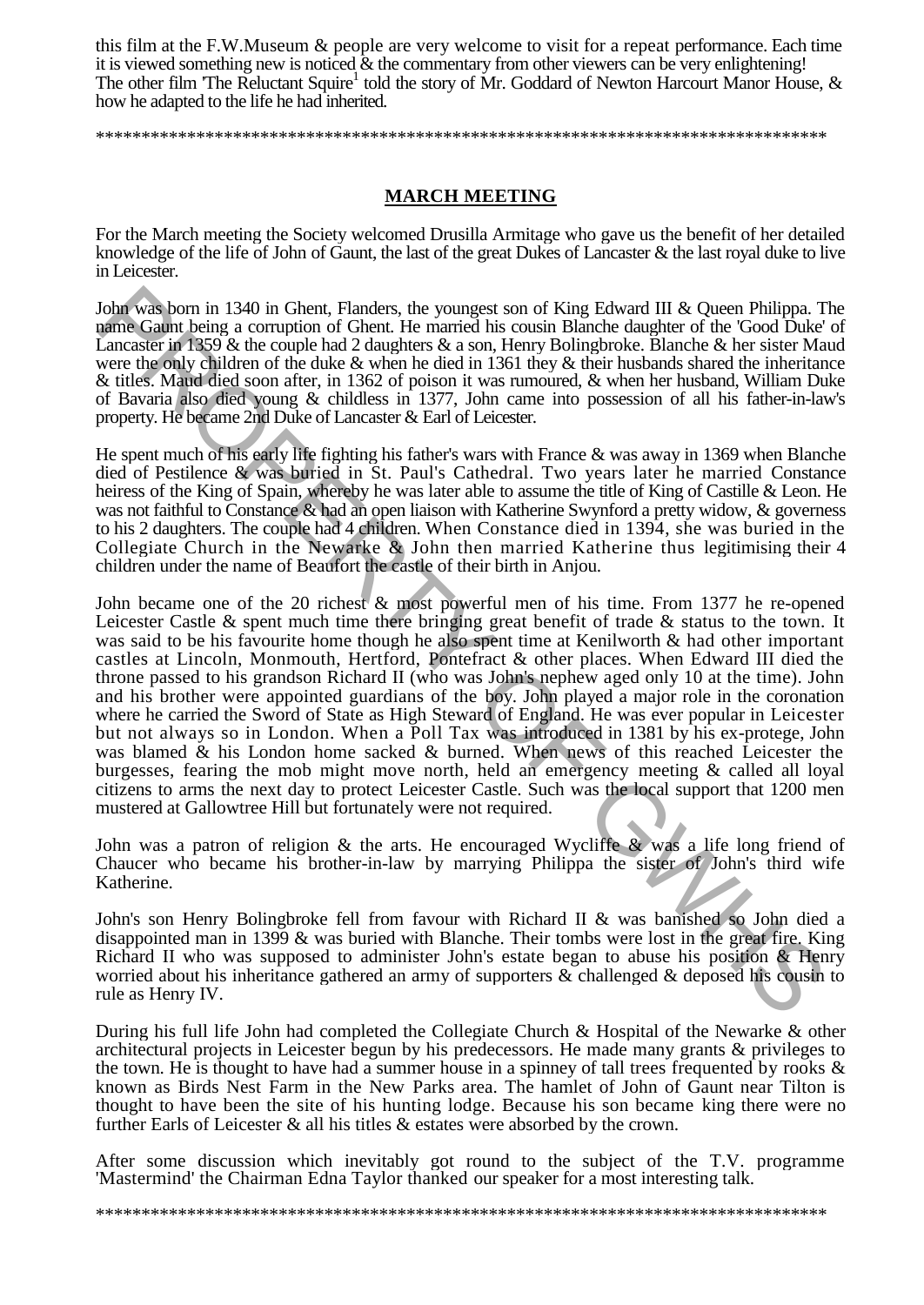this film at the F.W.Museum & people are very welcome to visit for a repeat performance. Each time it is viewed something new is noticed & the commentary from other viewers can be very enlightening! The other film 'The Reluctant Squire<sup>1</sup> told the story of Mr. Goddard of Newton Harcourt Manor House,  $\&$ how he adapted to the life he had inherited.

\*\*\*\*\*\*\*\*\*\*\*\*\*\*\*\*\*\*\*\*\*\*\*\*\*\*\*\*\*\*\*\*\*\*\*\*\*\*\*\*\*\*\*\*\*\*\*\*\*\*\*\*\*\*\*\*\*\*\*\*\*\*\*\*\*\*\*\*\*\*\*\*\*\*\*\*\*\*\*\*

### **MARCH MEETING**

For the March meeting the Society welcomed Drusilla Armitage who gave us the benefit of her detailed knowledge of the life of John of Gaunt, the last of the great Dukes of Lancaster & the last royal duke to live in Leicester.

John was born in 1340 in Ghent, Flanders, the youngest son of King Edward III & Queen Philippa. The name Gaunt being a corruption of Ghent. He married his cousin Blanche daughter of the 'Good Duke' of Lancaster in 1359 & the couple had 2 daughters & a son, Henry Bolingbroke. Blanche & her sister Maud were the only children of the duke & when he died in 1361 they & their husbands shared the inheritance & titles. Maud died soon after, in 1362 of poison it was rumoured, & when her husband, William Duke of Bavaria also died young & childless in 1377, John came into possession of all his father-in-law's property. He became 2nd Duke of Lancaster & Earl of Leicester.

He spent much of his early life fighting his father's wars with France & was away in 1369 when Blanche died of Pestilence & was buried in St. Paul's Cathedral. Two years later he married Constance heiress of the King of Spain, whereby he was later able to assume the title of King of Castille & Leon. He was not faithful to Constance & had an open liaison with Katherine Swynford a pretty widow, & governess to his 2 daughters. The couple had 4 children. When Constance died in 1394, she was buried in the Collegiate Church in the Newarke & John then married Katherine thus legitimising their 4 children under the name of Beaufort the castle of their birth in Anjou.

John became one of the 20 richest & most powerful men of his time. From 1377 he re-opened Leicester Castle & spent much time there bringing great benefit of trade & status to the town. It was said to be his favourite home though he also spent time at Kenilworth & had other important castles at Lincoln, Monmouth, Hertford, Pontefract & other places. When Edward III died the throne passed to his grandson Richard II (who was John's nephew aged only 10 at the time). John and his brother were appointed guardians of the boy. John played a major role in the coronation where he carried the Sword of State as High Steward of England. He was ever popular in Leicester but not always so in London. When a Poll Tax was introduced in 1381 by his ex-protege, John was blamed & his London home sacked & burned. When news of this reached Leicester the burgesses, fearing the mob might move north, held an emergency meeting & called all loyal citizens to arms the next day to protect Leicester Castle. Such was the local support that 1200 men mustered at Gallowtree Hill but fortunately were not required. John was hom in 1340 in Chent, Flanders, the youngest son of King Edward III & Queen Philippa. The<br>angularity birg a compution of Ghent. He mained his cousin Blanche daughters of the Good Dake<br>Lancaster of FSOV & the coopl

John was a patron of religion  $\&$  the arts. He encouraged Wycliffe  $\&$  was a life long friend of Chaucer who became his brother-in-law by marrying Philippa the sister of John's third wife Katherine.

John's son Henry Bolingbroke fell from favour with Richard II & was banished so John died a disappointed man in 1399 & was buried with Blanche. Their tombs were lost in the great fire. King Richard II who was supposed to administer John's estate began to abuse his position & Henry worried about his inheritance gathered an army of supporters & challenged & deposed his cousin to rule as Henry IV.

During his full life John had completed the Collegiate Church & Hospital of the Newarke & other architectural projects in Leicester begun by his predecessors. He made many grants & privileges to the town. He is thought to have had a summer house in a spinney of tall trees frequented by rooks  $\&$ known as Birds Nest Farm in the New Parks area. The hamlet of John of Gaunt near Tilton is thought to have been the site of his hunting lodge. Because his son became king there were no further Earls of Leicester & all his titles & estates were absorbed by the crown.

After some discussion which inevitably got round to the subject of the T.V. programme 'Mastermind' the Chairman Edna Taylor thanked our speaker for a most interesting talk.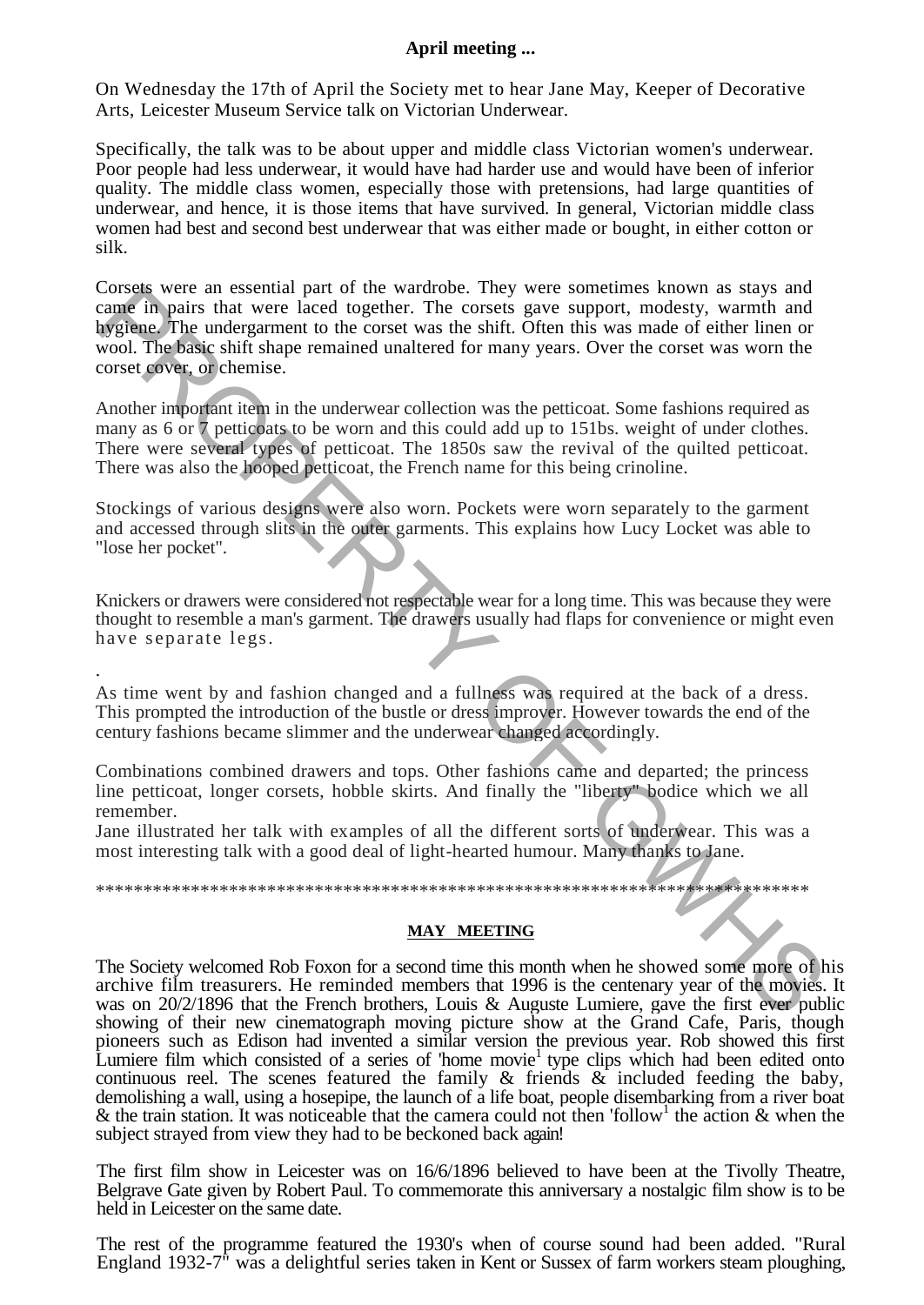### **April meeting ...**

On Wednesday the 17th of April the Society met to hear Jane May, Keeper of Decorative Arts, Leicester Museum Service talk on Victorian Underwear.

Specifically, the talk was to be about upper and middle class Victorian women's underwear. Poor people had less underwear, it would have had harder use and would have been of inferior quality. The middle class women, especially those with pretensions, had large quantities of underwear, and hence, it is those items that have survived. In general, Victorian middle class women had best and second best underwear that was either made or bought, in either cotton or silk.

Corsets were an essential part of the wardrobe. They were sometimes known as stays and came in pairs that were laced together. The corsets gave support, modesty, warmth and hygiene. The undergarment to the corset was the shift. Often this was made of either linen or wool. The basic shift shape remained unaltered for many years. Over the corset was worn the corset cover, or chemise. Corses were an essential part of the warroote. Intey were somethers harow that stays and<br>come in pairs that were laced together. The corsets gave support, modesty, warmth and<br>the stay is any stay and the corset was the shi

Another important item in the underwear collection was the petticoat. Some fashions required as many as 6 or 7 petticoats to be worn and this could add up to 151bs. weight of under clothes. There were several types of petticoat. The 1850s saw the revival of the quilted petticoat. There was also the hooped petticoat, the French name for this being crinoline.

Stockings of various designs were also worn. Pockets were worn separately to the garment and accessed through slits in the outer garments. This explains how Lucy Locket was able to "lose her pocket".

Knickers or drawers were considered not respectable wear for a long time. This was because they were thought to resemble a man's garment. The drawers usually had flaps for convenience or might even have separate legs.

As time went by and fashion changed and a fullness was required at the back of a dress. This prompted the introduction of the bustle or dress improver. However towards the end of the century fashions became slimmer and the underwear changed accordingly.

.

Combinations combined drawers and tops. Other fashions came and departed; the princess line petticoat, longer corsets, hobble skirts. And finally the "liberty" bodice which we all remember.

Jane illustrated her talk with examples of all the different sorts of underwear. This was a most interesting talk with a good deal of light-hearted humour. Many thanks to Jane.

\*\*\*\*\*\*\*\*\*\*\*\*\*\*\*\*\*\*\*\*\*\*\*\*\*\*\*\*\*\*\*\*\*\*\*\*\*\*\*\*\*\*\*\*\*\*\*\*\*\*\*\*\*\*\*\*\*\*\*\*\*\*\*\*\*\*\*\*\*\*\*\*\*\*\*

### **MAY MEETING**

The Society welcomed Rob Foxon for a second time this month when he showed some more of his archive film treasurers. He reminded members that 1996 is the centenary year of the movies. It was on 20/2/1896 that the French brothers, Louis & Auguste Lumiere, gave the first ever public showing of their new cinematograph moving picture show at the Grand Cafe, Paris, though pioneers such as Edison had invented a similar version the previous year. Rob showed this first Lumiere film which consisted of a series of 'home movie<sup>1</sup> type clips which had been edited onto continuous reel. The scenes featured the family  $\&$  friends  $\&$  included feeding the baby, demolishing a wall, using a hosepipe, the launch of a life boat, people disembarking from a river boat & the train station. It was noticeable that the camera could not then 'follow<sup>1</sup> the action & when the subject strayed from view they had to be beckoned back again!

The first film show in Leicester was on 16/6/1896 believed to have been at the Tivolly Theatre, Belgrave Gate given by Robert Paul. To commemorate this anniversary a nostalgic film show is to be held in Leicester on the same date.

The rest of the programme featured the 1930's when of course sound had been added. "Rural England 1932-7" was a delightful series taken in Kent or Sussex of farm workers steam ploughing,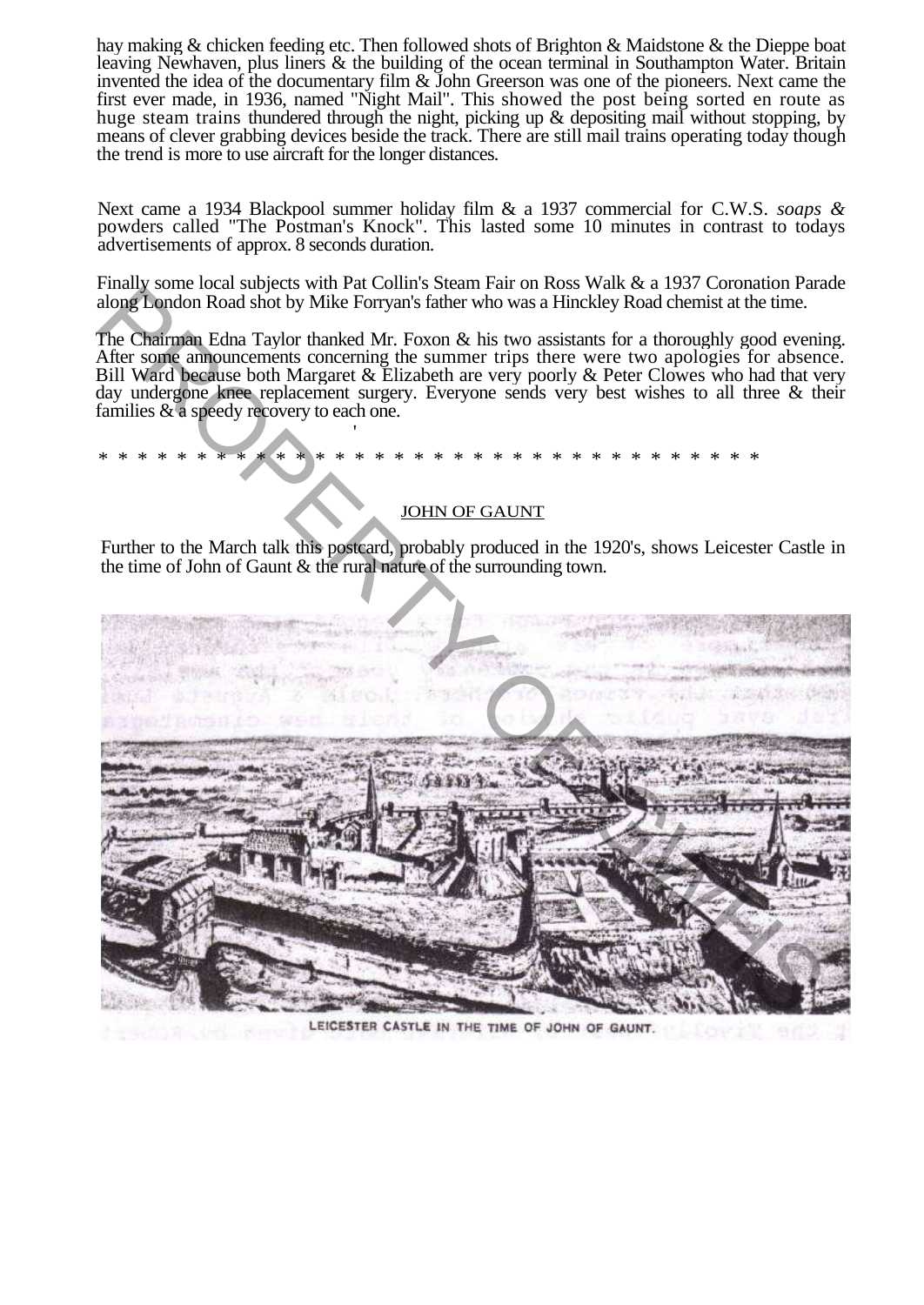hay making & chicken feeding etc. Then followed shots of Brighton & Maidstone & the Dieppe boat leaving Newhaven, plus liners & the building of the ocean terminal in Southampton Water. Britain invented the idea of the documentary film & John Greerson was one of the pioneers. Next came the first ever made, in 1936, named "Night Mail". This showed the post being sorted en route as huge steam trains thundered through the night, picking up & depositing mail without stopping, by means of clever grabbing devices beside the track. There are still mail trains operating today though the trend is more to use aircraft for the longer distances.

Next came a 1934 Blackpool summer holiday film & a 1937 commercial for C.W.S. *soaps &*  powders called "The Postman's Knock". This lasted some 10 minutes in contrast to todays advertisements of approx. 8 seconds duration.

Finally some local subjects with Pat Collin's Steam Fair on Ross Walk & a 1937 Coronation Parade along London Road shot by Mike Forryan's father who was a Hinckley Road chemist at the time.

The Chairman Edna Taylor thanked Mr. Foxon & his two assistants for a thoroughly good evening. After some announcements concerning the summer trips there were two apologies for absence. Bill Ward because both Margaret & Elizabeth are very poorly & Peter Clowes who had that very day undergone knee replacement surgery. Everyone sends very best wishes to all three & their families & a speedy recovery to each one.

\* \* \* \* \* \* \* \* \* \* \* \* \* \* \* \* \* \* \* \* \* \* \* \* \* \* \* \* \* \* \* \* \* \*

### JOHN OF GAUNT

Further to the March talk this postcard, probably produced in the 1920's, shows Leicester Castle in the time of John of Gaunt & the rural nature of the surrounding town.

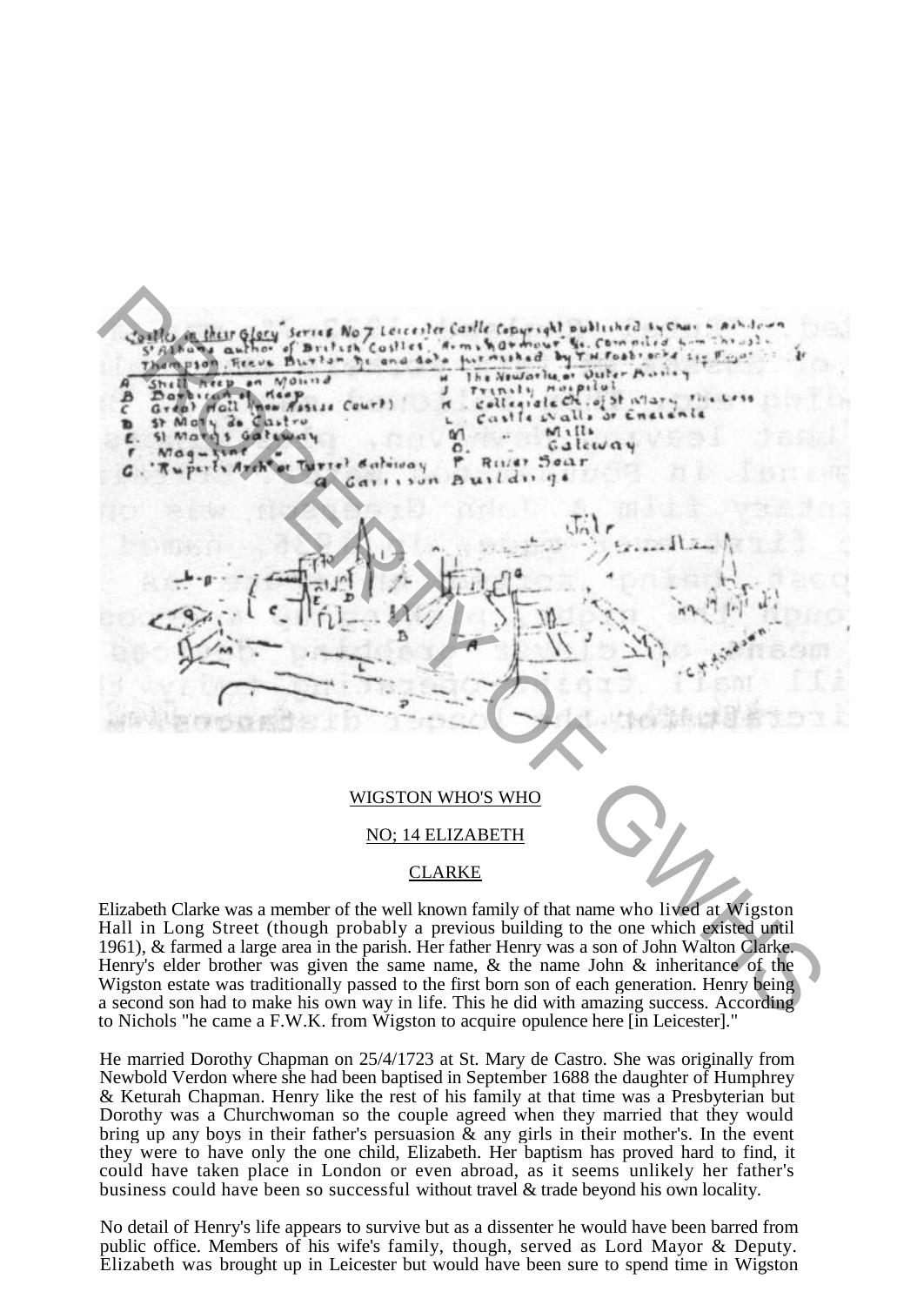

### NO; 14 ELIZABETH

### **CLARKE**

Elizabeth Clarke was a member of the well known family of that name who lived at Wigston Hall in Long Street (though probably a previous building to the one which existed until 1961), & farmed a large area in the parish. Her father Henry was a son of John Walton Clarke. Henry's elder brother was given the same name, & the name John & inheritance of the Wigston estate was traditionally passed to the first born son of each generation. Henry being a second son had to make his own way in life. This he did with amazing success. According to Nichols "he came a F.W.K. from Wigston to acquire opulence here [in Leicester]."

He married Dorothy Chapman on 25/4/1723 at St. Mary de Castro. She was originally from Newbold Verdon where she had been baptised in September 1688 the daughter of Humphrey & Keturah Chapman. Henry like the rest of his family at that time was a Presbyterian but Dorothy was a Churchwoman so the couple agreed when they married that they would bring up any boys in their father's persuasion & any girls in their mother's. In the event they were to have only the one child, Elizabeth. Her baptism has proved hard to find, it could have taken place in London or even abroad, as it seems unlikely her father's business could have been so successful without travel & trade beyond his own locality.

No detail of Henry's life appears to survive but as a dissenter he would have been barred from public office. Members of his wife's family, though, served as Lord Mayor & Deputy. Elizabeth was brought up in Leicester but would have been sure to spend time in Wigston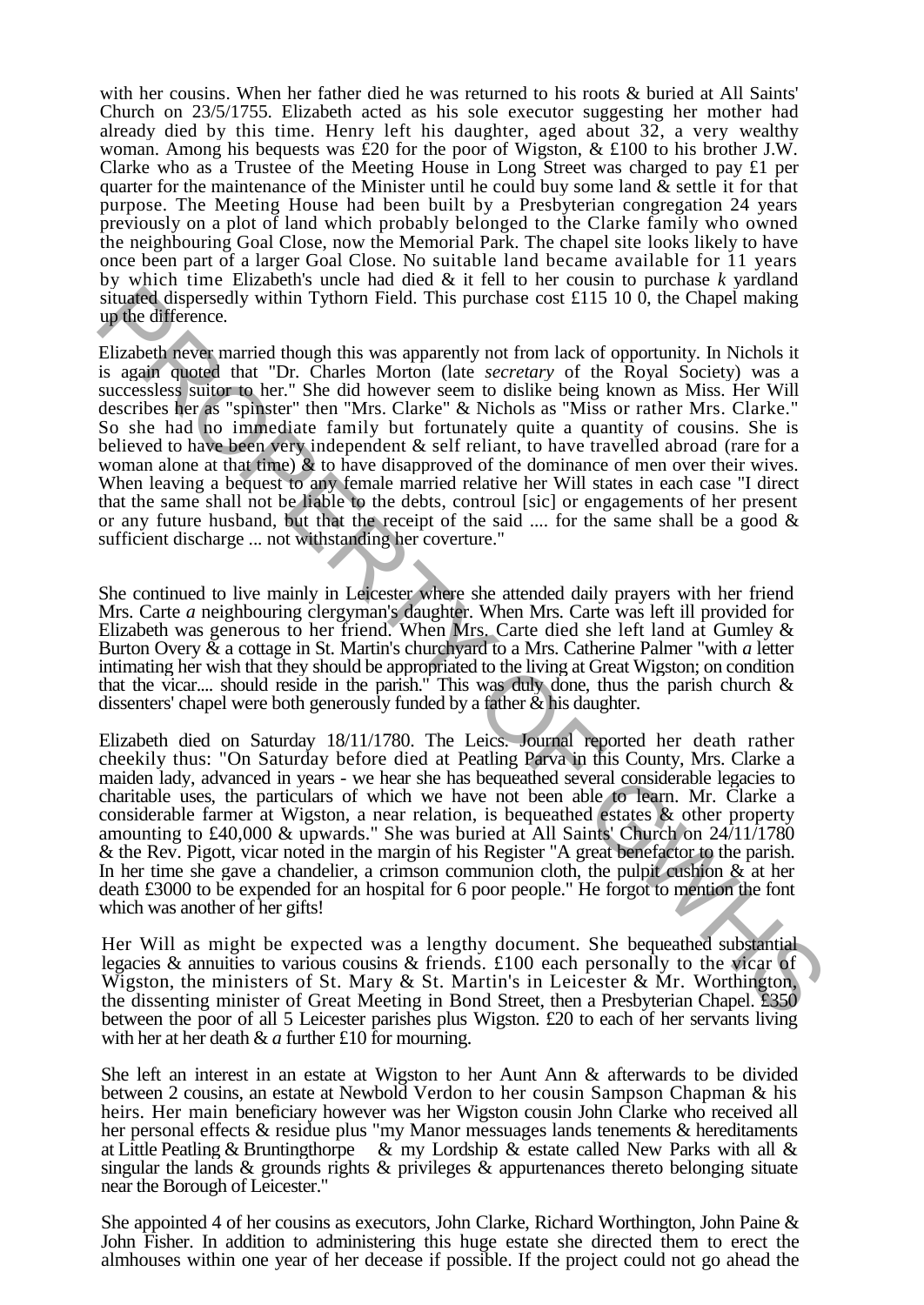with her cousins. When her father died he was returned to his roots & buried at All Saints' Church on 23/5/1755. Elizabeth acted as his sole executor suggesting her mother had already died by this time. Henry left his daughter, aged about 32, a very wealthy woman. Among his bequests was £20 for the poor of Wigston, & £100 to his brother J.W. Clarke who as a Trustee of the Meeting House in Long Street was charged to pay £1 per quarter for the maintenance of the Minister until he could buy some land  $\&$  settle it for that purpose. The Meeting House had been built by a Presbyterian congregation 24 years previously on a plot of land which probably belonged to the Clarke family who owned the neighbouring Goal Close, now the Memorial Park. The chapel site looks likely to have once been part of a larger Goal Close. No suitable land became available for 11 years by which time Elizabeth's uncle had died & it fell to her cousin to purchase *k* yardland situated dispersedly within Tythorn Field. This purchase cost £115 10 0, the Chapel making up the difference.

Elizabeth never married though this was apparently not from lack of opportunity. In Nichols it is again quoted that "Dr. Charles Morton (late *secretary* of the Royal Society) was a successless suitor to her." She did however seem to dislike being known as Miss. Her Will describes her as "spinster" then "Mrs. Clarke" & Nichols as "Miss or rather Mrs. Clarke." So she had no immediate family but fortunately quite a quantity of cousins. She is believed to have been very independent & self reliant, to have travelled abroad (rare for a woman alone at that time)  $\&$  to have disapproved of the dominance of men over their wives. When leaving a bequest to any female married relative her Will states in each case "I direct that the same shall not be liable to the debts, controul [sic] or engagements of her present or any future husband, but that the receipt of the said  $\ldots$  for the same shall be a good  $\&$ sufficient discharge ... not withstanding her coverture." simulated dispersed within Tythom Field. This purchase cost £115 10 0, the Chapel making<br>simulated dispersed within Tythom Field. This purchase cost £115 10 0, the Chapel making<br>Elizabeth revel married though this was app

She continued to live mainly in Leicester where she attended daily prayers with her friend Mrs. Carte *a* neighbouring clergyman's daughter. When Mrs. Carte was left ill provided for Elizabeth was generous to her friend. When Mrs. Carte died she left land at Gumley & Burton Overy & a cottage in St. Martin's churchyard to a Mrs. Catherine Palmer "with *a* letter intimating her wish that they should be appropriated to the living at Great Wigston; on condition that the vicar.... should reside in the parish." This was duly done, thus the parish church  $\&$ dissenters' chapel were both generously funded by a father  $\&$  his daughter.

Elizabeth died on Saturday 18/11/1780. The Leics. Journal reported her death rather cheekily thus: "On Saturday before died at Peatling Parva in this County, Mrs. Clarke a maiden lady, advanced in years - we hear she has bequeathed several considerable legacies to charitable uses, the particulars of which we have not been able to learn. Mr. Clarke a considerable farmer at Wigston, a near relation, is bequeathed estates & other property amounting to £40,000 & upwards." She was buried at All Saints' Church on 24/11/1780 & the Rev. Pigott, vicar noted in the margin of his Register "A great benefactor to the parish. In her time she gave a chandelier, a crimson communion cloth, the pulpit cushion & at her death £3000 to be expended for an hospital for 6 poor people." He forgot to mention the font which was another of her gifts!

Her Will as might be expected was a lengthy document. She bequeathed substantial legacies & annuities to various cousins & friends. £100 each personally to the vicar of Wigston, the ministers of St. Mary & St. Martin's in Leicester & Mr. Worthington, the dissenting minister of Great Meeting in Bond Street, then a Presbyterian Chapel. £350 between the poor of all 5 Leicester parishes plus Wigston. £20 to each of her servants living with her at her death & *a* further £10 for mourning.

She left an interest in an estate at Wigston to her Aunt Ann & afterwards to be divided between 2 cousins, an estate at Newbold Verdon to her cousin Sampson Chapman & his heirs. Her main beneficiary however was her Wigston cousin John Clarke who received all her personal effects & residue plus "my Manor messuages lands tenements & hereditaments at Little Peatling & Bruntingthorpe & my Lordship & estate called New Parks with all  $\&$ singular the lands & grounds rights & privileges & appurtenances thereto belonging situate near the Borough of Leicester."

She appointed 4 of her cousins as executors, John Clarke, Richard Worthington, John Paine & John Fisher. In addition to administering this huge estate she directed them to erect the almhouses within one year of her decease if possible. If the project could not go ahead the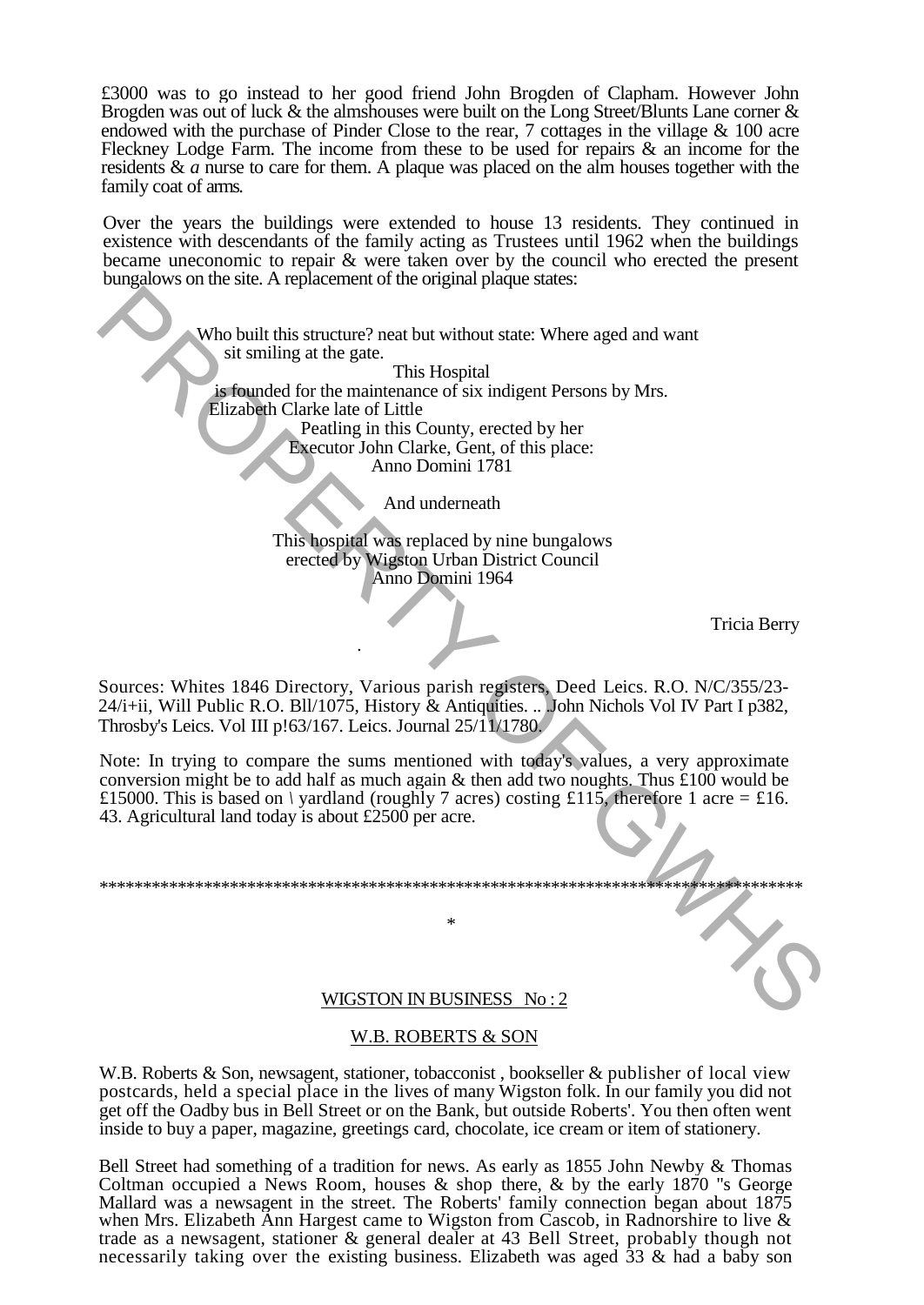£3000 was to go instead to her good friend John Brogden of Clapham. However John Brogden was out of luck & the almshouses were built on the Long Street/Blunts Lane corner & endowed with the purchase of Pinder Close to the rear, 7 cottages in the village & 100 acre Fleckney Lodge Farm. The income from these to be used for repairs & an income for the residents & *a* nurse to care for them. A plaque was placed on the alm houses together with the family coat of arms.

Over the years the buildings were extended to house 13 residents. They continued in existence with descendants of the family acting as Trustees until 1962 when the buildings became uneconomic to repair & were taken over by the council who erected the present bungalows on the site. A replacement of the original plaque states:

> Who built this structure? neat but without state: Where aged and want sit smiling at the gate.

This Hospital is founded for the maintenance of six indigent Persons by Mrs. Elizabeth Clarke late of Little Peatling in this County, erected by her

Executor John Clarke, Gent, of this place: Anno Domini 1781

And underneath

This hospital was replaced by nine bungalows erected by Wigston Urban District Council Anno Domini 1964

Tricia Berry

Sources: Whites 1846 Directory, Various parish registers, Deed Leics. R.O. N/C/355/23- 24/i+ii, Will Public R.O. Bll/1075, History & Antiquities. .. .John Nichols Vol IV Part I p382, Throsby's Leics. Vol III p!63/167. Leics. Journal 25/11/1780.

.

Note: In trying to compare the sums mentioned with today's values, a very approximate conversion might be to add half as much again & then add two noughts. Thus £100 would be £15000. This is based on *\* yardland (roughly 7 acres) costing £115, therefore 1 acre = £16. 43. Agricultural land today is about £2500 per acre. Who built this structure? then but without state: Where aged and want<br>sit similing at the gate.<br>This Hospital<br>calculate C Little contribution Clark, Gent, of this place<br>Pecution Clark, Gent, of this place<br>Pecution Clark, G

\*\*\*\*\*\*\*\*\*\*\*\*\*\*\*\*\*\*\*\*\*\*\*\*\*\*\*\*\*\*\*\*\*\*\*\*\*\*\*\*\*\*\*\*\*\*\*\*\*\*\*\*\*\*\*\*\*\*\*\*\*\*\*\*\*\*\*\*\*\*\*\*\*\*\*\*\*\*\*\*\*

\*

### WIGSTON IN BUSINESS No : 2

### W.B. ROBERTS & SON

W.B. Roberts & Son, newsagent, stationer, tobacconist, bookseller & publisher of local view postcards, held a special place in the lives of many Wigston folk. In our family you did not get off the Oadby bus in Bell Street or on the Bank, but outside Roberts'. You then often went inside to buy a paper, magazine, greetings card, chocolate, ice cream or item of stationery.

Bell Street had something of a tradition for news. As early as 1855 John Newby & Thomas Coltman occupied a News Room, houses  $\&$  shop there,  $\&$  by the early 1870 "s George Mallard was a newsagent in the street. The Roberts' family connection began about 1875 when Mrs. Elizabeth Ann Hargest came to Wigston from Cascob, in Radnorshire to live & trade as a newsagent, stationer & general dealer at 43 Bell Street, probably though not necessarily taking over the existing business. Elizabeth was aged 33 & had a baby son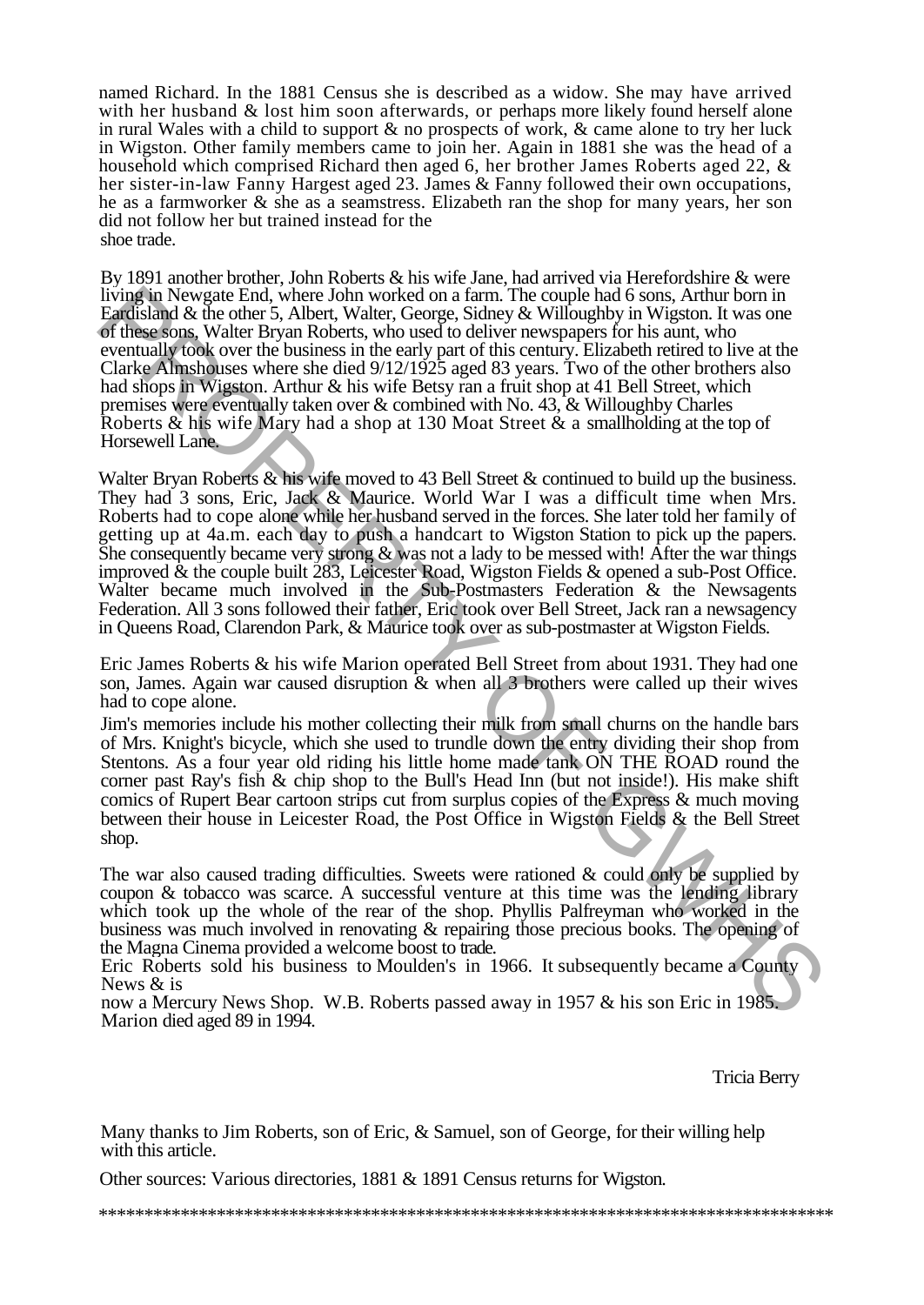named Richard. In the 1881 Census she is described as a widow. She may have arrived with her husband & lost him soon afterwards, or perhaps more likely found herself alone in rural Wales with a child to support & no prospects of work, & came alone to try her luck in Wigston. Other family members came to join her. Again in 1881 she was the head of a household which comprised Richard then aged 6, her brother James Roberts aged 22, & her sister-in-law Fanny Hargest aged 23. James & Fanny followed their own occupations, he as a farmworker & she as a seamstress. Elizabeth ran the shop for many years, her son did not follow her but trained instead for the shoe trade.

By 1891 another brother, John Roberts & his wife Jane, had arrived via Herefordshire & were living in Newgate End, where John worked on a farm. The couple had 6 sons, Arthur born in Eardisland & the other 5, Albert, Walter, George, Sidney & Willoughby in Wigston. It was one of these sons, Walter Bryan Roberts, who used to deliver newspapers for his aunt, who eventually took over the business in the early part of this century. Elizabeth retired to live at the Clarke Almshouses where she died 9/12/1925 aged 83 years. Two of the other brothers also had shops in Wigston. Arthur & his wife Betsy ran a fruit shop at 41 Bell Street, which premises were eventually taken over & combined with No. 43, & Willoughby Charles Roberts & his wife Mary had a shop at 130 Moat Street & a smallholding at the top of Horsewell Lane.

Walter Bryan Roberts & his wife moved to 43 Bell Street & continued to build up the business. They had 3 sons, Eric, Jack & Maurice. World War I was a difficult time when Mrs. Roberts had to cope alone while her husband served in the forces. She later told her family of getting up at 4a.m. each day to push a handcart to Wigston Station to pick up the papers. She consequently became very strong  $\&$  was not a lady to be messed with! After the war things improved & the couple built 283, Leicester Road, Wigston Fields & opened a sub-Post Office. Walter became much involved in the Sub-Postmasters Federation & the Newsagents Federation. All 3 sons followed their father, Eric took over Bell Street, Jack ran a newsagency in Queens Road, Clarendon Park, & Maurice took over as sub-postmaster at Wigston Fields. living in Newstate End, where John worked on a from. The couple had sons, Arthur born in the Sons, and the Sons and the Sons and the Sons and the Sons and the Sons and the Sons and the Sons and the sons of the Sons and the

Eric James Roberts & his wife Marion operated Bell Street from about 1931. They had one son, James. Again war caused disruption & when all 3 brothers were called up their wives had to cope alone.

Jim's memories include his mother collecting their milk from small churns on the handle bars of Mrs. Knight's bicycle, which she used to trundle down the entry dividing their shop from Stentons. As a four year old riding his little home made tank ON THE ROAD round the corner past Ray's fish & chip shop to the Bull's Head Inn (but not inside!). His make shift comics of Rupert Bear cartoon strips cut from surplus copies of the Express & much moving between their house in Leicester Road, the Post Office in Wigston Fields & the Bell Street shop.

The war also caused trading difficulties. Sweets were rationed  $\&$  could only be supplied by coupon & tobacco was scarce. A successful venture at this time was the lending library which took up the whole of the rear of the shop. Phyllis Palfreyman who worked in the business was much involved in renovating & repairing those precious books. The opening of the Magna Cinema provided a welcome boost to trade.

Eric Roberts sold his business to Moulden's in 1966. It subsequently became a County News & is

now a Mercury News Shop. W.B. Roberts passed away in 1957 & his son Eric in 1985. Marion died aged 89 in 1994.

Tricia Berry

Many thanks to Jim Roberts, son of Eric, & Samuel, son of George, for their willing help with this article.

Other sources: Various directories, 1881 & 1891 Census returns for Wigston.

\*\*\*\*\*\*\*\*\*\*\*\*\*\*\*\*\*\*\*\*\*\*\*\*\*\*\*\*\*\*\*\*\*\*\*\*\*\*\*\*\*\*\*\*\*\*\*\*\*\*\*\*\*\*\*\*\*\*\*\*\*\*\*\*\*\*\*\*\*\*\*\*\*\*\*\*\*\*\*\*\*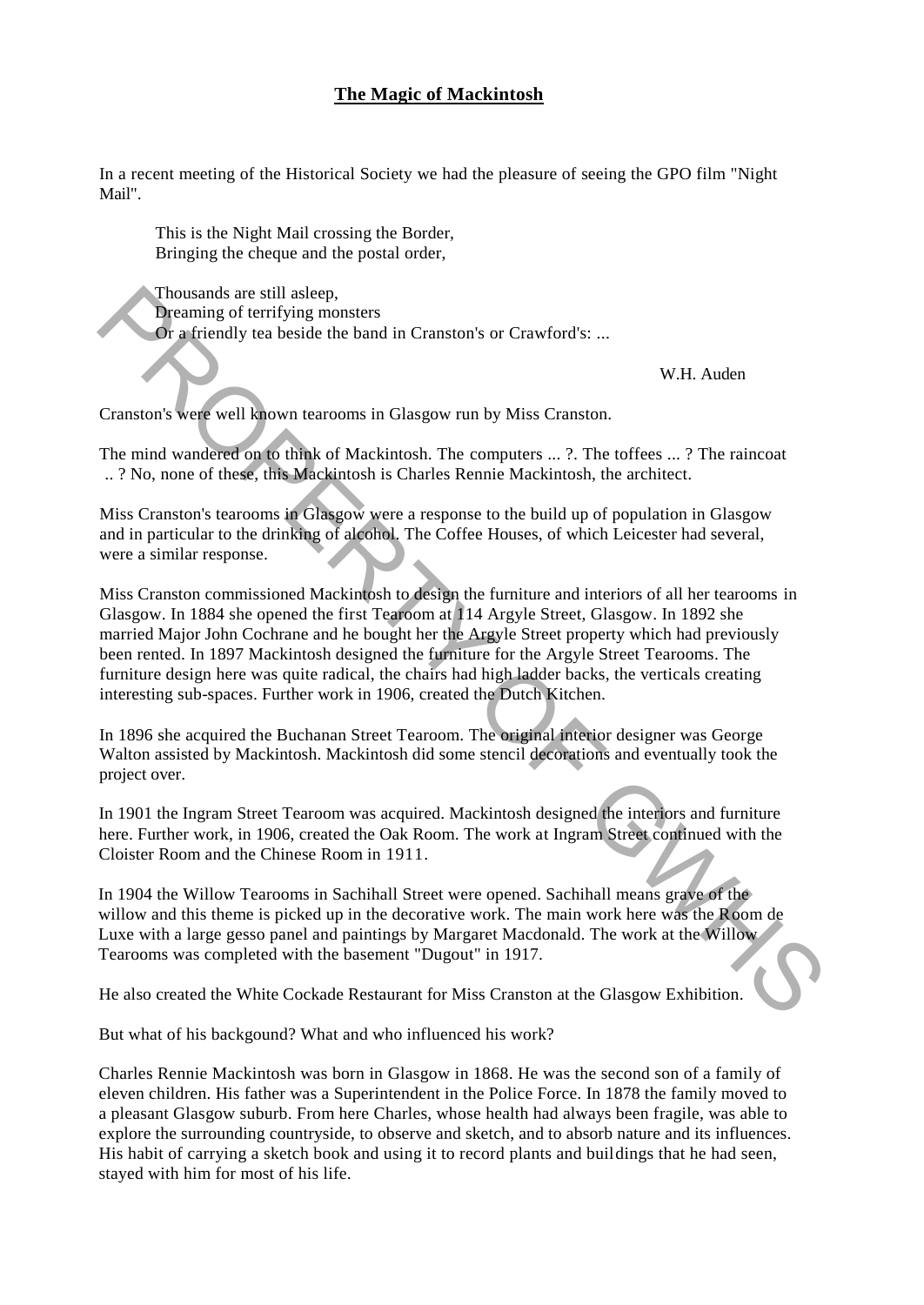### **The Magic of Mackintosh**

In a recent meeting of the Historical Society we had the pleasure of seeing the GPO film "Night Mail".

This is the Night Mail crossing the Border, Bringing the cheque and the postal order,

Thousands are still asleep, Dreaming of terrifying monsters Or a friendly tea beside the band in Cranston's or Crawford's: ...

W.H. Auden

Cranston's were well known tearooms in Glasgow run by Miss Cranston.

The mind wandered on to think of Mackintosh. The computers ... ?. The toffees ... ? The raincoat .. ? No, none of these, this Mackintosh is Charles Rennie Mackintosh, the architect.

Miss Cranston's tearooms in Glasgow were a response to the build up of population in Glasgow and in particular to the drinking of alcohol. The Coffee Houses, of which Leicester had several, were a similar response.

Miss Cranston commissioned Mackintosh to design the furniture and interiors of all her tearooms in Glasgow. In 1884 she opened the first Tearoom at 114 Argyle Street, Glasgow. In 1892 she married Major John Cochrane and he bought her the Argyle Street property which had previously been rented. In 1897 Mackintosh designed the furniture for the Argyle Street Tearooms. The furniture design here was quite radical, the chairs had high ladder backs, the verticals creating interesting sub-spaces. Further work in 1906, created the Dutch Kitchen. Thousands are still asleep,<br>
Theoreming of terrifying monsters<br> **Or** a friendly tea beside the band in Cranston's or Crawford's: ...<br>
W.H. Auden<br>
Cranston's wege well known tearoons in Glasgow run by Miss Cranston.<br>
The m

In 1896 she acquired the Buchanan Street Tearoom. The original interior designer was George Walton assisted by Mackintosh. Mackintosh did some stencil decorations and eventually took the project over.

In 1901 the Ingram Street Tearoom was acquired. Mackintosh designed the interiors and furniture here. Further work, in 1906, created the Oak Room. The work at Ingram Street continued with the Cloister Room and the Chinese Room in 1911.

In 1904 the Willow Tearooms in Sachihall Street were opened. Sachihall means grave of the willow and this theme is picked up in the decorative work. The main work here was the Room de Luxe with a large gesso panel and paintings by Margaret Macdonald. The work at the Willow Tearooms was completed with the basement "Dugout" in 1917.

He also created the White Cockade Restaurant for Miss Cranston at the Glasgow Exhibition.

But what of his backgound? What and who influenced his work?

Charles Rennie Mackintosh was born in Glasgow in 1868. He was the second son of a family of eleven children. His father was a Superintendent in the Police Force. In 1878 the family moved to a pleasant Glasgow suburb. From here Charles, whose health had always been fragile, was able to explore the surrounding countryside, to observe and sketch, and to absorb nature and its influences. His habit of carrying a sketch book and using it to record plants and buildings that he had seen, stayed with him for most of his life.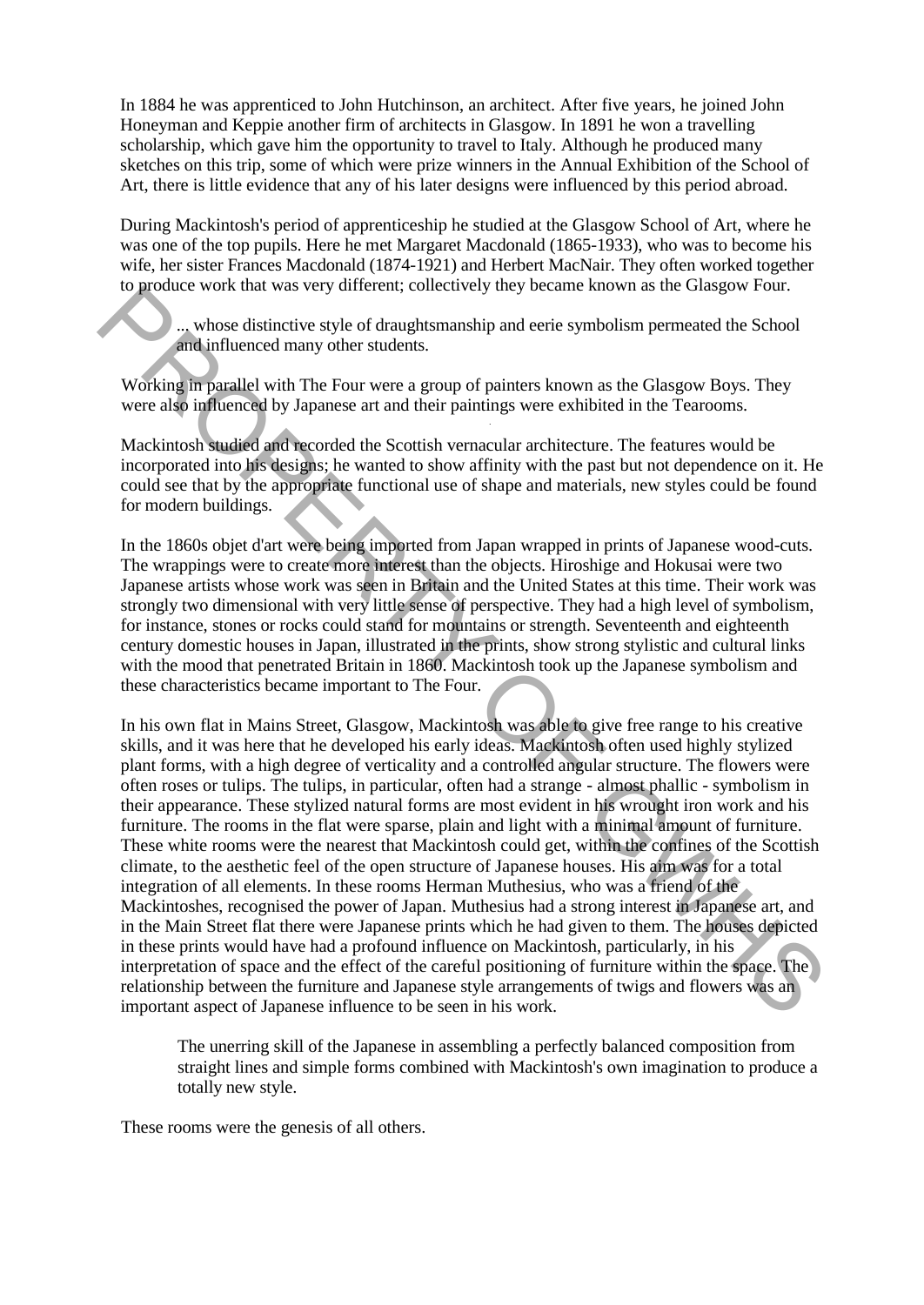In 1884 he was apprenticed to John Hutchinson, an architect. After five years, he joined John Honeyman and Keppie another firm of architects in Glasgow. In 1891 he won a travelling scholarship, which gave him the opportunity to travel to Italy. Although he produced many sketches on this trip, some of which were prize winners in the Annual Exhibition of the School of Art, there is little evidence that any of his later designs were influenced by this period abroad.

During Mackintosh's period of apprenticeship he studied at the Glasgow School of Art, where he was one of the top pupils. Here he met Margaret Macdonald (1865-1933), who was to become his wife, her sister Frances Macdonald (1874-1921) and Herbert MacNair. They often worked together to produce work that was very different; collectively they became known as the Glasgow Four.

... whose distinctive style of draughtsmanship and eerie symbolism permeated the School and influenced many other students.

.

Working in parallel with The Four were a group of painters known as the Glasgow Boys. They were also influenced by Japanese art and their paintings were exhibited in the Tearooms.

Mackintosh studied and recorded the Scottish vernacular architecture. The features would be incorporated into his designs; he wanted to show affinity with the past but not dependence on it. He could see that by the appropriate functional use of shape and materials, new styles could be found for modern buildings.

In the 1860s objet d'art were being imported from Japan wrapped in prints of Japanese wood-cuts. The wrappings were to create more interest than the objects. Hiroshige and Hokusai were two Japanese artists whose work was seen in Britain and the United States at this time. Their work was strongly two dimensional with very little sense of perspective. They had a high level of symbolism, for instance, stones or rocks could stand for mountains or strength. Seventeenth and eighteenth century domestic houses in Japan, illustrated in the prints, show strong stylistic and cultural links with the mood that penetrated Britain in 1860. Mackintosh took up the Japanese symbolism and these characteristics became important to The Four.

In his own flat in Mains Street, Glasgow, Mackintosh was able to give free range to his creative skills, and it was here that he developed his early ideas. Mackintosh often used highly stylized plant forms, with a high degree of verticality and a controlled angular structure. The flowers were often roses or tulips. The tulips, in particular, often had a strange - almost phallic - symbolism in their appearance. These stylized natural forms are most evident in his wrought iron work and his furniture. The rooms in the flat were sparse, plain and light with a minimal amount of furniture. These white rooms were the nearest that Mackintosh could get, within the confines of the Scottish climate, to the aesthetic feel of the open structure of Japanese houses. His aim was for a total integration of all elements. In these rooms Herman Muthesius, who was a friend of the Mackintoshes, recognised the power of Japan. Muthesius had a strong interest in Japanese art, and in the Main Street flat there were Japanese prints which he had given to them. The houses depicted in these prints would have had a profound influence on Mackintosh, particularly, in his interpretation of space and the effect of the careful positioning of furniture within the space. The relationship between the furniture and Japanese style arrangements of twigs and flowers was an important aspect of Japanese influence to be seen in his work. For product work that was very universal (concervery usly occanne known as the Gasgow rout.<br>
.... whose distinctive style of draghtsmanship and eerie symbolism permeated the School<br>
and influenced many other students.<br>
Wor

> The unerring skill of the Japanese in assembling a perfectly balanced composition from straight lines and simple forms combined with Mackintosh's own imagination to produce a totally new style.

These rooms were the genesis of all others.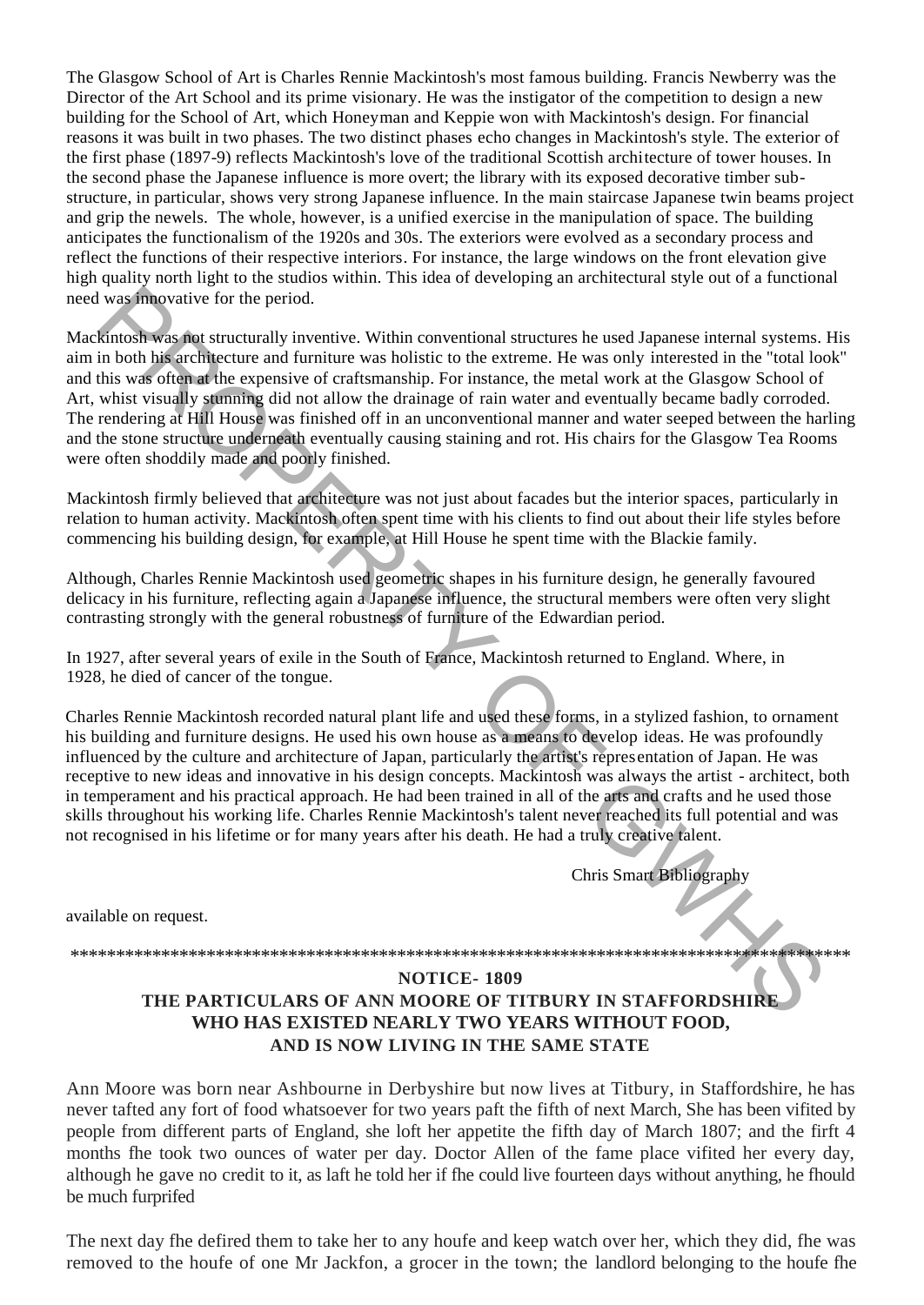The Glasgow School of Art is Charles Rennie Mackintosh's most famous building. Francis Newberry was the Director of the Art School and its prime visionary. He was the instigator of the competition to design a new building for the School of Art, which Honeyman and Keppie won with Mackintosh's design. For financial reasons it was built in two phases. The two distinct phases echo changes in Mackintosh's style. The exterior of the first phase (1897-9) reflects Mackintosh's love of the traditional Scottish architecture of tower houses. In the second phase the Japanese influence is more overt; the library with its exposed decorative timber substructure, in particular, shows very strong Japanese influence. In the main staircase Japanese twin beams project and grip the newels. The whole, however, is a unified exercise in the manipulation of space. The building anticipates the functionalism of the 1920s and 30s. The exteriors were evolved as a secondary process and reflect the functions of their respective interiors. For instance, the large windows on the front elevation give high quality north light to the studios within. This idea of developing an architectural style out of a functional need was innovative for the period.

Mackintosh was not structurally inventive. Within conventional structures he used Japanese internal systems. His aim in both his architecture and furniture was holistic to the extreme. He was only interested in the "total look" and this was often at the expensive of craftsmanship. For instance, the metal work at the Glasgow School of Art, whist visually stunning did not allow the drainage of rain water and eventually became badly corroded. The rendering at Hill House was finished off in an unconventional manner and water seeped between the harling and the stone structure underneath eventually causing staining and rot. His chairs for the Glasgow Tea Rooms were often shoddily made and poorly finished. It was followed for the period.<br>
In both his architetral inventive. Within conventional structures he used Japanese internal systems.<br>
En both his architecturally inventive. Within conventional structures he used Japanese

Mackintosh firmly believed that architecture was not just about facades but the interior spaces, particularly in relation to human activity. Mackintosh often spent time with his clients to find out about their life styles before commencing his building design, for example, at Hill House he spent time with the Blackie family.

Although, Charles Rennie Mackintosh used geometric shapes in his furniture design, he generally favoured delicacy in his furniture, reflecting again a Japanese influence, the structural members were often very slight contrasting strongly with the general robustness of furniture of the Edwardian period.

In 1927, after several years of exile in the South of France, Mackintosh returned to England. Where, in 1928, he died of cancer of the tongue.

Charles Rennie Mackintosh recorded natural plant life and used these forms, in a stylized fashion, to ornament his building and furniture designs. He used his own house as a means to develop ideas. He was profoundly influenced by the culture and architecture of Japan, particularly the artist's representation of Japan. He was receptive to new ideas and innovative in his design concepts. Mackintosh was always the artist - architect, both in temperament and his practical approach. He had been trained in all of the arts and crafts and he used those skills throughout his working life. Charles Rennie Mackintosh's talent never reached its full potential and was not recognised in his lifetime or for many years after his death. He had a truly creative talent.

Chris Smart Bibliography

available on request.

\*\*\*\*\*\*\*\*\*\*\*\*\*\*\*\*\*\*\*\*\*\*\*\*\*\*\*\*\*\*\*\*\*\*\*\*\*\*\*\*\*\*\*\*\*\*\*\*\*\*\*\*\*\*\*\*\*\*\*\*\*\*\*\*\*\*\*\*\*\*\*\*\*\*\*\*\*\*\*\*\*\*\*\*\*\*

### **NOTICE- 1809**

### **THE PARTICULARS OF ANN MOORE OF TITBURY IN STAFFORDSHIRE WHO HAS EXISTED NEARLY TWO YEARS WITHOUT FOOD, AND IS NOW LIVING IN THE SAME STATE**

Ann Moore was born near Ashbourne in Derbyshire but now lives at Titbury, in Staffordshire, he has never tafted any fort of food whatsoever for two years paft the fifth of next March, She has been vifited by people from different parts of England, she loft her appetite the fifth day of March 1807; and the firft 4 months fhe took two ounces of water per day. Doctor Allen of the fame place vifited her every day, although he gave no credit to it, as laft he told her if fhe could live fourteen days without anything, he fhould be much furprifed

The next day fhe defired them to take her to any houfe and keep watch over her, which they did, fhe was removed to the houfe of one Mr Jackfon, a grocer in the town; the landlord belonging to the houfe fhe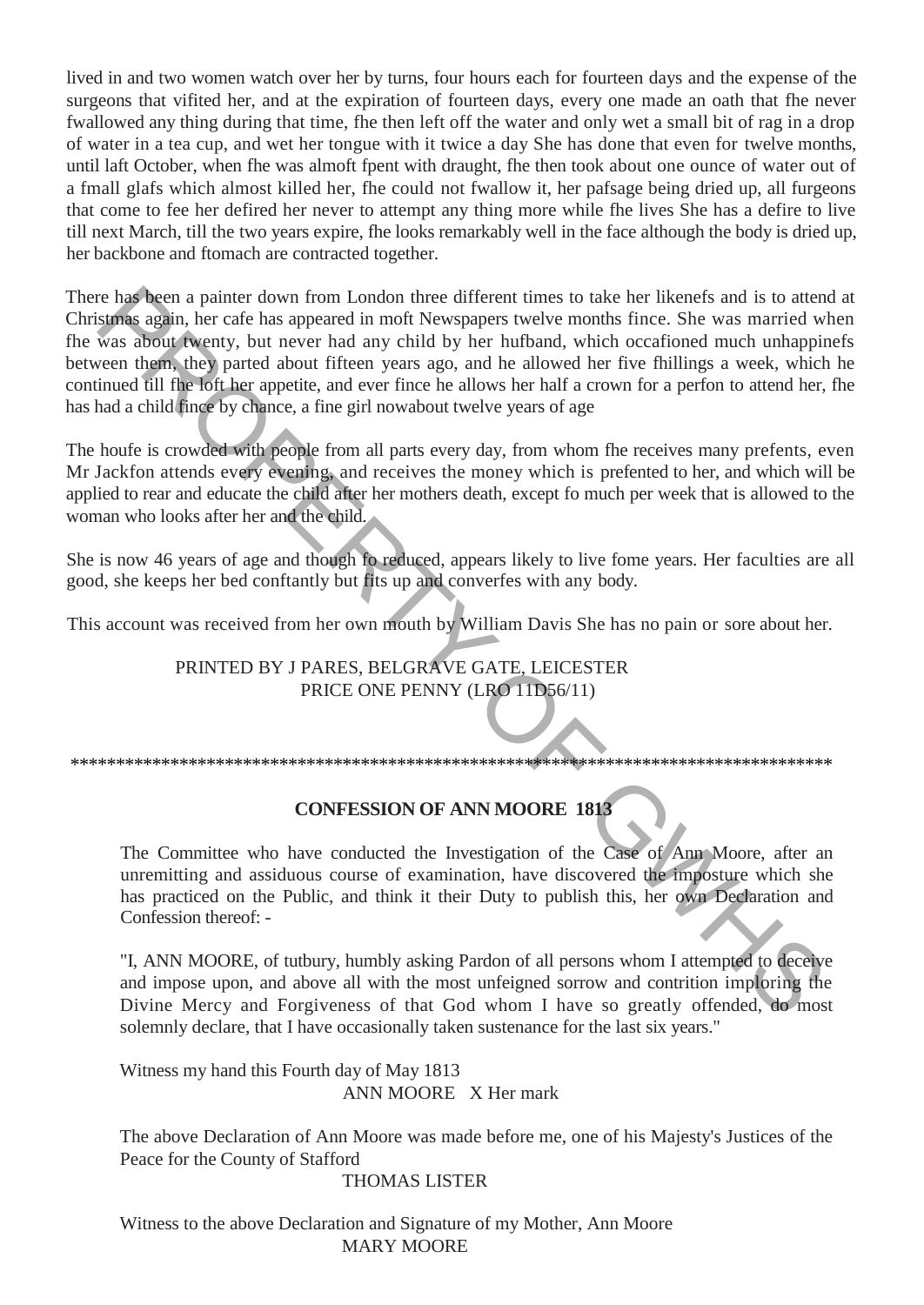lived in and two women watch over her by turns, four hours each for fourteen days and the expense of the surgeons that vifited her, and at the expiration of fourteen days, every one made an oath that fhe never fwallowed any thing during that time, fhe then left off the water and only wet a small bit of rag in a drop of water in a tea cup, and wet her tongue with it twice a day She has done that even for twelve months, until laft October, when fhe was almoft fpent with draught, fhe then took about one ounce of water out of a fmall glafs which almost killed her, fhe could not fwallow it, her pafsage being dried up, all furgeons that come to fee her defired her never to attempt any thing more while fhe lives She has a defire to live till next March, till the two years expire, fhe looks remarkably well in the face although the body is dried up, her backbone and ftomach are contracted together.

There has been a painter down from London three different times to take her likenefs and is to attend at Christmas again, her cafe has appeared in moft Newspapers twelve months fince. She was married when fhe was about twenty, but never had any child by her hufband, which occafioned much unhappinefs between them, they parted about fifteen years ago, and he allowed her five fhillings a week, which he continued till fhe loft her appetite, and ever fince he allows her half a crown for a perfon to attend her, fhe has had a child fince by chance, a fine girl nowabout twelve years of age er last been a painter down from London three different times to take the itselectric and is to attered the mean the blue and the mean the mean of the mean the mean of the mean the mean of the mean and the mean of the mean

The houfe is crowded with people from all parts every day, from whom fhe receives many prefents, even Mr Jackfon attends every evening, and receives the money which is prefented to her, and which will be applied to rear and educate the child after her mothers death, except fo much per week that is allowed to the woman who looks after her and the child.

She is now 46 years of age and though fo reduced, appears likely to live fome years. Her faculties are all good, she keeps her bed conftantly but fits up and converfes with any body.

This account was received from her own mouth by William Davis She has no pain or sore about her.

### PRINTED BY J PARES, BELGRAVE GATE, LEICESTER PRICE ONE PENNY (LRO 11D56/11)

### \*\*\*\*\*\*\*\*\*\*\*\*\*\*\*\*\*\*\*\*\*\*\*\*\*\*\*\*\*\*\*\*\*\*\*\*\*\*\*\*\*\*\*\*\*\*\*\*\*\*\*\*\*\*\*\*\*\*\*\*\*\*\*\*\*\*\*\*\*\*\*\*\*\*\*\*\*\*\*\*\*\*\*\*

### **CONFESSION OF ANN MOORE 1813**

The Committee who have conducted the Investigation of the Case of Ann Moore, after an unremitting and assiduous course of examination, have discovered the imposture which she has practiced on the Public, and think it their Duty to publish this, her own Declaration and Confession thereof: -

"I, ANN MOORE, of tutbury, humbly asking Pardon of all persons whom I attempted to deceive and impose upon, and above all with the most unfeigned sorrow and contrition imploring the Divine Mercy and Forgiveness of that God whom I have so greatly offended, do most solemnly declare, that I have occasionally taken sustenance for the last six years."

Witness my hand this Fourth day of May 1813 ANN MOORE X Her mark

The above Declaration of Ann Moore was made before me, one of his Majesty's Justices of the Peace for the County of Stafford

THOMAS LISTER

Witness to the above Declaration and Signature of my Mother, Ann Moore MARY MOORE